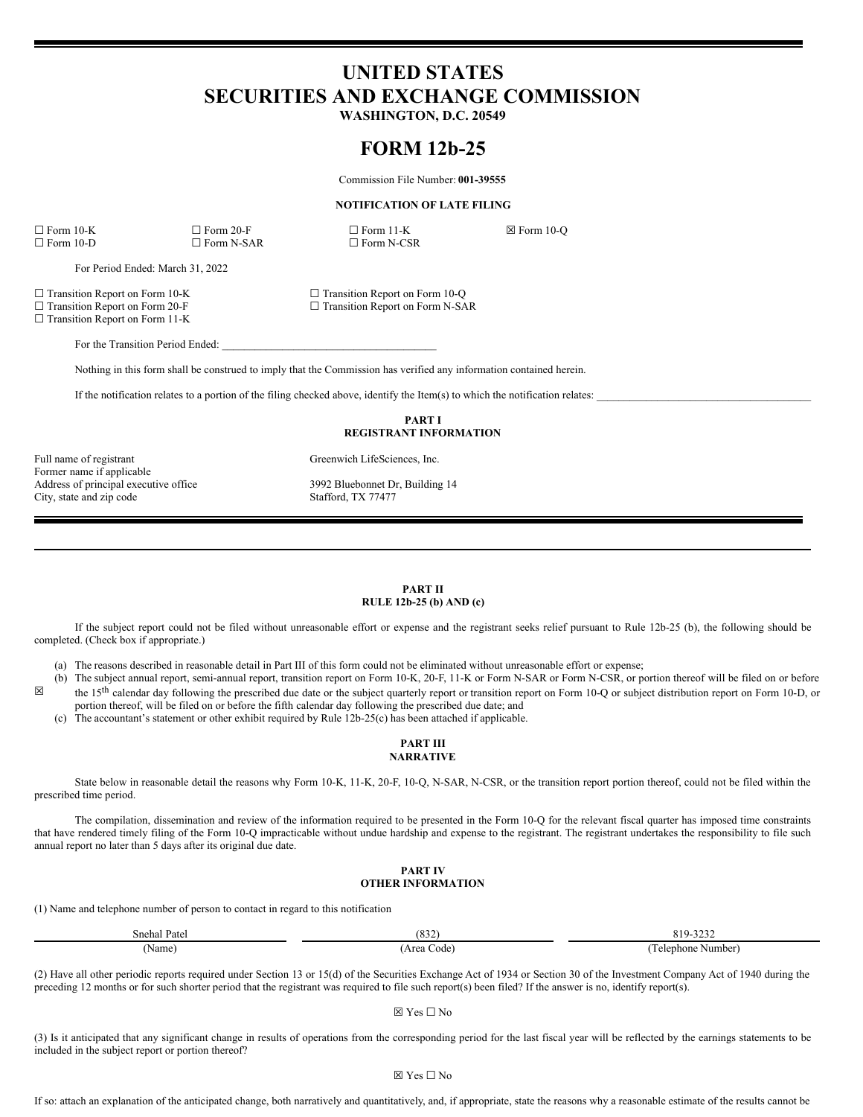# **UNITED STATES SECURITIES AND EXCHANGE COMMISSION**

**WASHINGTON, D.C. 20549**

# **FORM 12b-25**

Commission File Number: **001-39555**

### **NOTIFICATION OF LATE FILING**

☐ Form 10-K ☐ Form 20-F ☐ Form 11-K ☒ Form 10-Q  $\square$  Form N-SAR

For Period Ended: March 31, 2022

☐ Transition Report on Form 10-K ☐ Transition Report on Form 10-Q

□ Transition Report on Form 11-K

For the Transition Period Ended:

Nothing in this form shall be construed to imply that the Commission has verified any information contained herein.

If the notification relates to a portion of the filing checked above, identify the Item(s) to which the notification relates:

**PART I REGISTRANT INFORMATION**

Full name of registrant Greenwich LifeSciences, Inc. Former name if applicable Address of principal executive office 3992 Bluebonnet Dr, Building 14 City, state and zip code Stafford, TX 77477

 $\Box$  Transition Report on Form N-SAR

## **PART II RULE 12b-25 (b) AND (c)**

If the subject report could not be filed without unreasonable effort or expense and the registrant seeks relief pursuant to Rule 12b-25 (b), the following should be completed. (Check box if appropriate.)

(a) The reasons described in reasonable detail in Part III of this form could not be eliminated without unreasonable effort or expense;

(b) The subject annual report, semi-annual report, transition report on Form 10-K, 20-F, 11-K or Form N-SAR or Form N-CSR, or portion thereof will be filed on or before

- ☒ the 15<sup>th</sup> calendar day following the prescribed due date or the subject quarterly report or transition report on Form 10-Q or subject distribution report on Form 10-D, or portion thereof, will be filed on or before the fifth calendar day following the prescribed due date; and
	- (c) The accountant's statement or other exhibit required by Rule 12b-25(c) has been attached if applicable.

# **PART III NARRATIVE**

State below in reasonable detail the reasons why Form 10-K, 11-K, 20-F, 10-Q, N-SAR, N-CSR, or the transition report portion thereof, could not be filed within the prescribed time period.

The compilation, dissemination and review of the information required to be presented in the Form 10-Q for the relevant fiscal quarter has imposed time constraints that have rendered timely filing of the Form 10-Q impracticable without undue hardship and expense to the registrant. The registrant undertakes the responsibility to file such annual report no later than 5 days after its original due date.

# **PART IV OTHER INFORMATION**

(1) Name and telephone number of person to contact in regard to this notification

| Snehal Patel      | $\sim$ $\sim$ $\sim$<br>$\delta$ 32 | 2222<br>, ,<br>ОI<br>ے بے ب        |
|-------------------|-------------------------------------|------------------------------------|
| Name <sub>)</sub> | Area<br>. ode'<br>__                | $\sqrt{2}$<br>Number]<br>Telephone |

(2) Have all other periodic reports required under Section 13 or 15(d) of the Securities Exchange Act of 1934 or Section 30 of the Investment Company Act of 1940 during the preceding 12 months or for such shorter period that the registrant was required to file such report(s) been filed? If the answer is no, identify report(s).

### ☒ Yes ☐ No

(3) Is it anticipated that any significant change in results of operations from the corresponding period for the last fiscal year will be reflected by the earnings statements to be included in the subject report or portion thereof?

#### ☒ Yes ☐ No

If so: attach an explanation of the anticipated change, both narratively and quantitatively, and, if appropriate, state the reasons why a reasonable estimate of the results cannot be